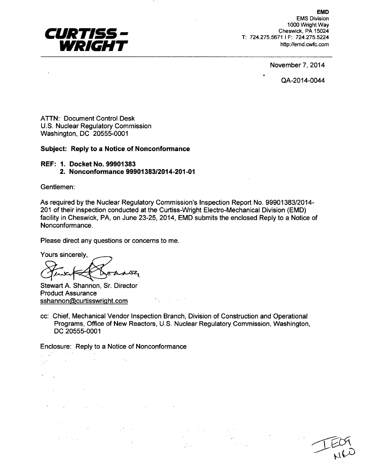

EMD EMS Division 1000 Wright Way Cheswick, PA 15024 T: 724.275.5671 I F: 724.275.5224 http://emd.cwfc.com

November 7, 2014

QA-2014-0044

ATTN: Document Control Desk U.S. Nuclear Regulatory Commission Washington, DC 20555-0001

#### Subject: Reply to a Notice of Nonconformance

# REF: **1.** Docket **No. 99901383** 2. Nonconformance **99901383/2014-201-01**

Gentlemen:

 $\epsilon$ 

As required by the Nuclear Regulatory Commission's Inspection Report No. 99901383/2014- 201 of their inspection conducted at the Curtiss-Wright Electro-Mechanical Division (EMD) facility in Cheswick, PA, on June 23-25, 2014, EMD submits the enclosed Reply to a Notice of Nonconformance.

Please direct any questions or concerns to me.

Yours sincerely,

 $\delta$  and  $\Sigma$ 

Stewart A. Shannon, Sr. Director Product Assurance sshannon@curtisswright.com

cc: Chief, Mechanical Vendor Inspection Branch, Division of Construction and Operational Programs, Office of New Reactors, U.S. Nuclear Regulatory Commission, Washington, DC 20555-0001

Enclosure: Reply to a Notice of Nonconformance

 $\mathcal{L}^{\mathcal{L}}(\mathcal{M})$  and the contribution of the contribution of the contribution of  $\mathcal{L}^{\mathcal{L}}(\mathcal{M})$  $\mathcal{L}^{\text{max}}_{\text{max}}$ **Contractor**  $\sim 1000$  and  $\sim 100$  $\mathcal{O}(\mathcal{O}(\log n))$  $\mathcal{N}(\mathcal{A})$  , and the set of the set of  $\mathcal{A}$  $\mathcal{L}_{\text{max}}$  and  $\mathcal{L}_{\text{max}}$  . The  $\mathcal{L}_{\text{max}}$  $\label{eq:2.1} \Psi_{\alpha\beta} = \left( \begin{array}{cc} \frac{1}{2} \left( \begin{array}{cc} \frac{1}{2} \left( \begin{array}{cc} 1 \end{array} \right) & \frac{1}{2} \left( \begin{array}{cc} \frac{1}{2} \end{array} \right) & \frac{1}{2} \left( \begin{array}{cc} \frac{1}{2} \end{array} \right) & \frac{1}{2} \left( \begin{array}{cc} \frac{1}{2} \end{array} \right) & \frac{1}{2} \left( \begin{array}{cc} \frac{1}{2} \end{array} \right) & \frac{1}{2} \left( \begin{array}{$  $\label{eq:2.1} \begin{split} \frac{d^2\mathcal{F}}{d\mathcal{F}}&= \frac{1}{2}\left(\frac{1}{\sqrt{2}}\right)^2\left(\frac{1}{\sqrt{2}}\right)^2. \end{split}$ a sa mga katalog na mga kalalasang ng mga kalalasang ng mga kalalasang ng mga kalalasang ng mga kalalasang ng<br>Kalalasang ng mga kalalasang ng mga kalalasang ng mga kalalasang ng mga kalalasang ng mga kalalasang ng mga ka<br>K  $\sim 10^6$ 

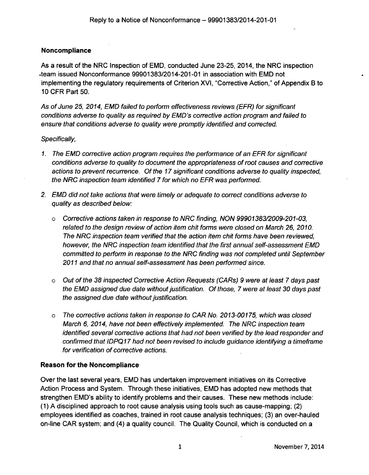# Noncompliance

As a result of the NRC Inspection of EMD, conducted June 23-25, 2014, the NRC inspection -team issued Nonconformance 99901383/2014-201-01 in association with EMD not implementing the regulatory requirements of Criterion XVI, "Corrective Action," of Appendix B to 10 CFR Part 50.

*As of June 25, 2014, EMD failed to perform effectiveness reviews (EFR) for significant conditions adverse to quality as required by EMD's corrective action program and failed to ensure that conditions adverse to quality were promptly identified and corrected.*

# *Specifically,*

- 1. *The EMD corrective action program requires the performance of an EFR for significant conditions adverse to quality to document the appropriateness of root causes and corrective actions to prevent recurrence. Of the 17 significant conditions adverse to quality inspected, the NRC inspection team identified 7 for which no EFR was performed.*
- *2. EMD did not take actions that were timely or adequate to correct conditions adverse to quality as described below.*
	- <sup>o</sup>*Corrective actions taken in response to NRC finding, NON 99901383/2009-201-03, related to the design review of action item chit forms were closed on March 26, 2010. The NRC inspection team verified that the action item chit forms have been reviewed, however, the NRC inspection team identified that the first annual self-assessment EMD committed to perform in response to the NRC finding was not completed until September 2011 and that no annual self-assessment has been performed since.*
	- <sup>o</sup>*Out of the 38 inspected Corrective Action Requests (CARs) 9 were at least 7 days past the EMD assigned due date without justification. Of those, 7 were at least 30 days past the assigned due date without justification.*
	- <sup>o</sup>*The corrective actions taken in response to CAR No. 2013-00175, which was closed March 6, 2014, have not been effectively implemented. The NRC inspection team identified several corrective actions that had not been verified by the lead responder and confirmed that IDPQ 17 had not been revised to include guidance identifying a timeframe for verification of corrective actions.*

# Reason for the Noncompliance

Over the last several years, EMD has undertaken improvement initiatives on its Corrective Action Process and System. Through these initiatives, EMD has adopted new methods that strengthen EMD's ability to identify problems and their causes. These new methods include: (1) A disciplined approach to root cause analysis using tools such as cause-mapping; (2) employees identified as coaches, trained in root cause analysis techniques; (3) an over-hauled on-line CAR system; and (4) a quality council. The Quality Council, which is conducted on a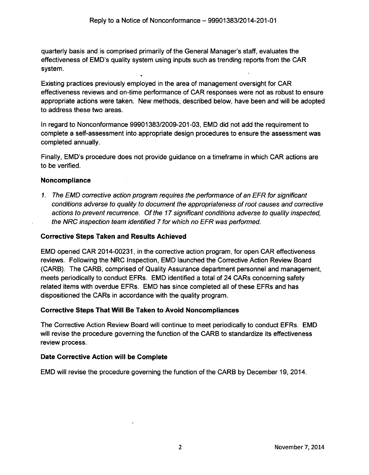quarterly basis and is comprised primarily of the General Manager's staff, evaluates the effectiveness of EMD's quality system using inputs such as trending reports from the CAR system.

Existing practices previously employed in the area of management oversight for CAR effectiveness reviews and on-time performance of CAR responses were not as robust to ensure appropriate actions were taken. New methods, described below, have been and will be adopted to address these two areas.

In regard to Nonconformance 99901383/2009-201-03, EMD did not add the requirement to complete a self-assessment into appropriate design procedures to ensure the assessment was completed annually.

Finally, EMD's procedure does not provide guidance on a timeframe in which CAR actions are to be verified.

# Noncompliance

*1. The EMD corrective action program requires the performance of an EFR for significant conditions adverse to quality to document the appropriateness of root causes and corrective actions to prevent recurrence. Of the 17 significant conditions adverse to quality inspected, the NRC inspection team identified 7 for which no EFR was performed.*

### Corrective Steps Taken and Results Achieved

EMD opened CAR 2014-00231, in the corrective action program, for open CAR effectiveness reviews. Following the NRC Inspection, EMD launched the Corrective Action Review Board (CARB). The CARB, comprised of Quality Assurance department personnel and management, meets periodically to conduct EFRs. EMD identified a total of 24 CARs concerning safety related items with overdue EFRs. EMD has since completed all of these EFRs and has dispositioned the CARs in accordance with the quality program.

#### Corrective Steps That Will Be Taken to Avoid Noncompliances

The Corrective Action Review Board will continue to meet periodically to conduct EFRs. EMD will revise the procedure governing the function of the CARB to standardize its effectiveness review process.

#### Date Corrective Action will be Complete

EMD will revise the procedure governing the function of the CARB by December 19, 2014.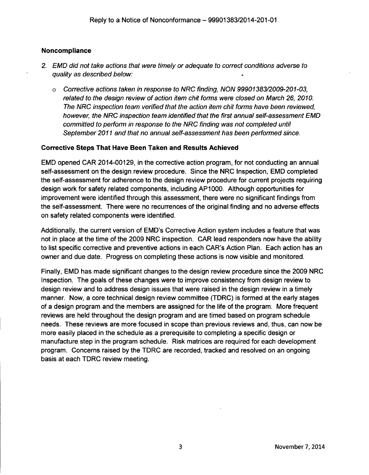### Noncompliance

- *2. EMD did not take actions that were timely or adequate to correct conditions adverse to quality as described below:*
	- o *Corrective actions taken in response to NRC finding, NON 99901383/2009-201-03, related to the design review of action item chit forms were closed on March 26, 2010. The NRC inspection team verified that the action item chit forms have been reviewed, however, the NRC inspection team identified that the first annual self-assessment EMD committed to perform in response to the NRC finding was not completed until September 2011 and that no annual self-assessment has been performed since.*

### Corrective Steps That Have Been Taken and Results Achieved

EMD opened CAR 2014-00129, in the corrective action program, for not conducting an annual self-assessment on the design review procedure. Since the NRC Inspection, EMD completed the self-assessment for adherence to the design review procedure for current projects requiring design work for safety related components, including AP1000. Although opportunities for improvement were identified through this assessment, there were no significant findings from the self-assessment. There were no recurrences of the original finding and no adverse effects on safety related components were identified.

Additionally, the current version of EMD's Corrective Action system includes a feature that was not in place at the time of the 2009 NRC inspection. CAR lead responders now have the ability to list specific corrective and preventive actions in each CAR's Action Plan. Each action has an owner and due date. Progress on completing these actions is now visible and monitored.

Finally, EMD has made significant changes to the design review procedure since the 2009 NRC Inspection. The goals of these changes were to improve consistency from design review to design review and to address design issues that were raised in the design review in a timely manner. Now, a core technical design review committee (TDRC) is formed at the early stages of a design program and the members are assigned for the life of the program. More frequent reviews are held throughout the design program and are timed based on program schedule needs. These reviews are more focused in scope than previous reviews and, thus, can now be more easily placed in the schedule as a prerequisite to completing a specific design or manufacture step in the program schedule. Risk matrices are required for each development program. Concerns raised by the TDRC are recorded, tracked and resolved on an ongoing basis at each TDRC review meeting.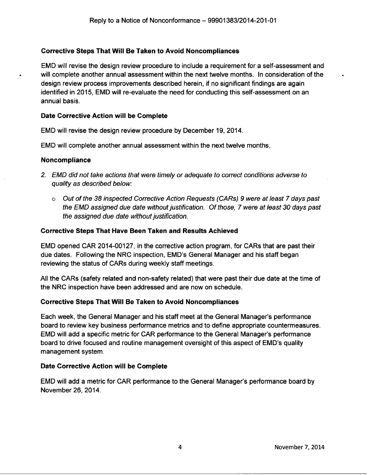# Corrective Steps That Will Be Taken to Avoid Noncompliances

EMD will revise the design review procedure to include a requirement for a self-assessment and will complete another annual assessment within the next twelve months. In consideration of the design review process improvements described herein, if no significant findings are again identified in 2015, EMD will re-evaluate the need for conducting this self-assessment on an annual basis.

### Date Corrective Action will be Complete

EMD will revise the design review procedure by December 19, 2014.

EMD will complete another annual assessment within the next twelve months.

### Noncompliance

- *2. EMD did not take actions that were timely or adequate to correct conditions adverse to quality as described below:*
	- <sup>o</sup>*Out of the 38 inspected Corrective Action Requests (CARs) 9 were at least 7 days past the EMD assigned due date without justification. Of those, 7 were at least 30 days past the assigned due date without justification.*

### Corrective Steps That Have Been Taken and Results Achieved

EMD opened CAR 2014-00127, in the corrective action program, for CARs that are past their due dates. Following the NRC inspection, EMD's General Manager and his staff began reviewing the status of CARs during weekly staff meetings.

All the CARs (safety related and non-safety related) that were past their due date at the time of the NRC inspection have been addressed and are now on schedule.

# Corrective Steps That Will Be Taken to Avoid Noncompliances

Each week, the General Manager and his staff meet at the General Manager's performance board to review key business performance metrics and to define appropriate countermeasures. EMD will add a specific metric for CAR performance to the General Manager's performance board to drive focused and routine management oversight of this aspect of EMD's quality management system.

# Date Corrective Action will be Complete

EMD will add a metric for CAR performance to the General Manager's performance board by November 26, 2014.